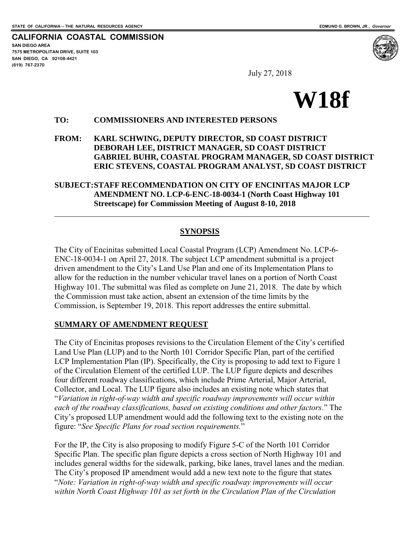$\overline{a}$ 

**CALIFORNIA COASTAL COMMISSION SAN DIEGO AREA 7575 METROPOLITAN DRIVE, SUITE 103 SAN DIEGO, CA 92108-4421 (619) 767-2370**



July 27, 2018

# **W18f**

#### **TO: COMMISSIONERS AND INTERESTED PERSONS**

**FROM: KARL SCHWING, DEPUTY DIRECTOR, SD COAST DISTRICT DEBORAH LEE, DISTRICT MANAGER, SD COAST DISTRICT GABRIEL BUHR, COASTAL PROGRAM MANAGER, SD COAST DISTRICT ERIC STEVENS, COASTAL PROGRAM ANALYST, SD COAST DISTRICT** 

**SUBJECT: STAFF RECOMMENDATION ON CITY OF ENCINITAS MAJOR LCP AMENDMENT NO. LCP-6-ENC-18-0034-1 (North Coast Highway 101 Streetscape) for Commission Meeting of August 8-10, 2018** 

#### **SYNOPSIS**

The City of Encinitas submitted Local Coastal Program (LCP) Amendment No. LCP-6- ENC-18-0034-1 on April 27, 2018. The subject LCP amendment submittal is a project driven amendment to the City's Land Use Plan and one of its Implementation Plans to allow for the reduction in the number vehicular travel lanes on a portion of North Coast Highway 101. The submittal was filed as complete on June 21, 2018. The date by which the Commission must take action, absent an extension of the time limits by the Commission, is September 19, 2018. This report addresses the entire submittal.

#### **SUMMARY OF AMENDMENT REQUEST**

The City of Encinitas proposes revisions to the Circulation Element of the City's certified Land Use Plan (LUP) and to the North 101 Corridor Specific Plan, part of the certified LCP Implementation Plan (IP). Specifically, the City is proposing to add text to Figure 1 of the Circulation Element of the certified LUP. The LUP figure depicts and describes four different roadway classifications, which include Prime Arterial, Major Arterial, Collector, and Local. The LUP figure also includes an existing note which states that "*Variation in right-of-way width and specific roadway improvements will occur within each of the roadway classifications, based on existing conditions and other factors*." The City's proposed LUP amendment would add the following text to the existing note on the figure: "*See Specific Plans for road section requirements.*"

For the IP, the City is also proposing to modify Figure 5-C of the North 101 Corridor Specific Plan. The specific plan figure depicts a cross section of North Highway 101 and includes general widths for the sidewalk, parking, bike lanes, travel lanes and the median. The City's proposed IP amendment would add a new text note to the figure that states "*Note: Variation in right-of-way width and specific roadway improvements will occur within North Coast Highway 101 as set forth in the Circulation Plan of the Circulation*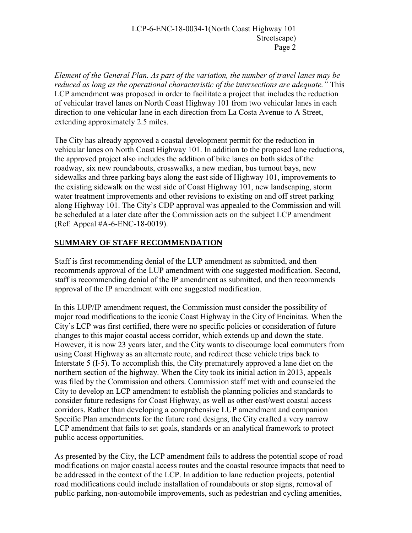*Element of the General Plan. As part of the variation, the number of travel lanes may be reduced as long as the operational characteristic of the intersections are adequate."* This LCP amendment was proposed in order to facilitate a project that includes the reduction of vehicular travel lanes on North Coast Highway 101 from two vehicular lanes in each direction to one vehicular lane in each direction from La Costa Avenue to A Street, extending approximately 2.5 miles.

The City has already approved a coastal development permit for the reduction in vehicular lanes on North Coast Highway 101. In addition to the proposed lane reductions, the approved project also includes the addition of bike lanes on both sides of the roadway, six new roundabouts, crosswalks, a new median, bus turnout bays, new sidewalks and three parking bays along the east side of Highway 101, improvements to the existing sidewalk on the west side of Coast Highway 101, new landscaping, storm water treatment improvements and other revisions to existing on and off street parking along Highway 101. The City's CDP approval was appealed to the Commission and will be scheduled at a later date after the Commission acts on the subject LCP amendment (Ref: Appeal #A-6-ENC-18-0019).

# **SUMMARY OF STAFF RECOMMENDATION**

Staff is first recommending denial of the LUP amendment as submitted, and then recommends approval of the LUP amendment with one suggested modification. Second, staff is recommending denial of the IP amendment as submitted, and then recommends approval of the IP amendment with one suggested modification.

In this LUP/IP amendment request, the Commission must consider the possibility of major road modifications to the iconic Coast Highway in the City of Encinitas. When the City's LCP was first certified, there were no specific policies or consideration of future changes to this major coastal access corridor, which extends up and down the state. However, it is now 23 years later, and the City wants to discourage local commuters from using Coast Highway as an alternate route, and redirect these vehicle trips back to Interstate 5 (I-5). To accomplish this, the City prematurely approved a lane diet on the northern section of the highway. When the City took its initial action in 2013, appeals was filed by the Commission and others. Commission staff met with and counseled the City to develop an LCP amendment to establish the planning policies and standards to consider future redesigns for Coast Highway, as well as other east/west coastal access corridors. Rather than developing a comprehensive LUP amendment and companion Specific Plan amendments for the future road designs, the City crafted a very narrow LCP amendment that fails to set goals, standards or an analytical framework to protect public access opportunities.

As presented by the City, the LCP amendment fails to address the potential scope of road modifications on major coastal access routes and the coastal resource impacts that need to be addressed in the context of the LCP. In addition to lane reduction projects, potential road modifications could include installation of roundabouts or stop signs, removal of public parking, non-automobile improvements, such as pedestrian and cycling amenities,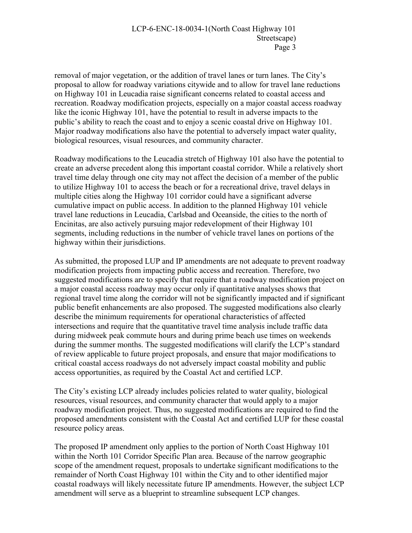removal of major vegetation, or the addition of travel lanes or turn lanes. The City's proposal to allow for roadway variations citywide and to allow for travel lane reductions on Highway 101 in Leucadia raise significant concerns related to coastal access and recreation. Roadway modification projects, especially on a major coastal access roadway like the iconic Highway 101, have the potential to result in adverse impacts to the public's ability to reach the coast and to enjoy a scenic coastal drive on Highway 101. Major roadway modifications also have the potential to adversely impact water quality, biological resources, visual resources, and community character.

Roadway modifications to the Leucadia stretch of Highway 101 also have the potential to create an adverse precedent along this important coastal corridor. While a relatively short travel time delay through one city may not affect the decision of a member of the public to utilize Highway 101 to access the beach or for a recreational drive, travel delays in multiple cities along the Highway 101 corridor could have a significant adverse cumulative impact on public access. In addition to the planned Highway 101 vehicle travel lane reductions in Leucadia, Carlsbad and Oceanside, the cities to the north of Encinitas, are also actively pursuing major redevelopment of their Highway 101 segments, including reductions in the number of vehicle travel lanes on portions of the highway within their jurisdictions.

As submitted, the proposed LUP and IP amendments are not adequate to prevent roadway modification projects from impacting public access and recreation. Therefore, two suggested modifications are to specify that require that a roadway modification project on a major coastal access roadway may occur only if quantitative analyses shows that regional travel time along the corridor will not be significantly impacted and if significant public benefit enhancements are also proposed. The suggested modifications also clearly describe the minimum requirements for operational characteristics of affected intersections and require that the quantitative travel time analysis include traffic data during midweek peak commute hours and during prime beach use times on weekends during the summer months. The suggested modifications will clarify the LCP's standard of review applicable to future project proposals, and ensure that major modifications to critical coastal access roadways do not adversely impact coastal mobility and public access opportunities, as required by the Coastal Act and certified LCP.

The City's existing LCP already includes policies related to water quality, biological resources, visual resources, and community character that would apply to a major roadway modification project. Thus, no suggested modifications are required to find the proposed amendments consistent with the Coastal Act and certified LUP for these coastal resource policy areas.

The proposed IP amendment only applies to the portion of North Coast Highway 101 within the North 101 Corridor Specific Plan area. Because of the narrow geographic scope of the amendment request, proposals to undertake significant modifications to the remainder of North Coast Highway 101 within the City and to other identified major coastal roadways will likely necessitate future IP amendments. However, the subject LCP amendment will serve as a blueprint to streamline subsequent LCP changes.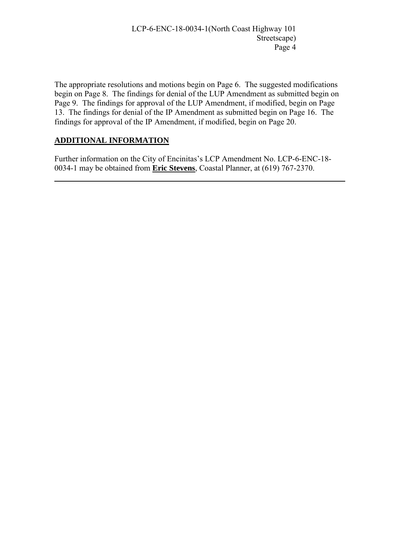The appropriate resolutions and motions begin on Page 6. The suggested modifications begin on Page 8. The findings for denial of the LUP Amendment as submitted begin on Page 9. The findings for approval of the LUP Amendment, if modified, begin on Page 13. The findings for denial of the IP Amendment as submitted begin on Page 16. The findings for approval of the IP Amendment, if modified, begin on Page 20.

# **ADDITIONAL INFORMATION**

 $\overline{a}$ 

Further information on the City of Encinitas's LCP Amendment No. LCP-6-ENC-18- 0034-1 may be obtained from **Eric Stevens**, Coastal Planner, at (619) 767-2370.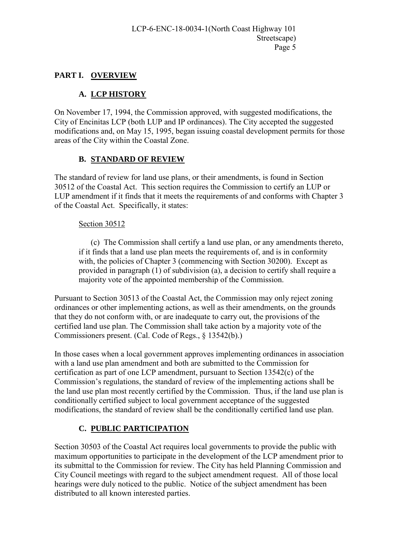# **PART I. OVERVIEW**

# **A. LCP HISTORY**

On November 17, 1994, the Commission approved, with suggested modifications, the City of Encinitas LCP (both LUP and IP ordinances). The City accepted the suggested modifications and, on May 15, 1995, began issuing coastal development permits for those areas of the City within the Coastal Zone.

# **B. STANDARD OF REVIEW**

The standard of review for land use plans, or their amendments, is found in Section 30512 of the Coastal Act. This section requires the Commission to certify an LUP or LUP amendment if it finds that it meets the requirements of and conforms with Chapter 3 of the Coastal Act. Specifically, it states:

#### Section 30512

(c) The Commission shall certify a land use plan, or any amendments thereto, if it finds that a land use plan meets the requirements of, and is in conformity with, the policies of Chapter 3 (commencing with Section 30200). Except as provided in paragraph (1) of subdivision (a), a decision to certify shall require a majority vote of the appointed membership of the Commission.

Pursuant to Section 30513 of the Coastal Act, the Commission may only reject zoning ordinances or other implementing actions, as well as their amendments, on the grounds that they do not conform with, or are inadequate to carry out, the provisions of the certified land use plan. The Commission shall take action by a majority vote of the Commissioners present. (Cal. Code of Regs., § 13542(b).)

In those cases when a local government approves implementing ordinances in association with a land use plan amendment and both are submitted to the Commission for certification as part of one LCP amendment, pursuant to Section 13542(c) of the Commission's regulations, the standard of review of the implementing actions shall be the land use plan most recently certified by the Commission. Thus, if the land use plan is conditionally certified subject to local government acceptance of the suggested modifications, the standard of review shall be the conditionally certified land use plan.

# **C. PUBLIC PARTICIPATION**

Section 30503 of the Coastal Act requires local governments to provide the public with maximum opportunities to participate in the development of the LCP amendment prior to its submittal to the Commission for review. The City has held Planning Commission and City Council meetings with regard to the subject amendment request. All of those local hearings were duly noticed to the public. Notice of the subject amendment has been distributed to all known interested parties.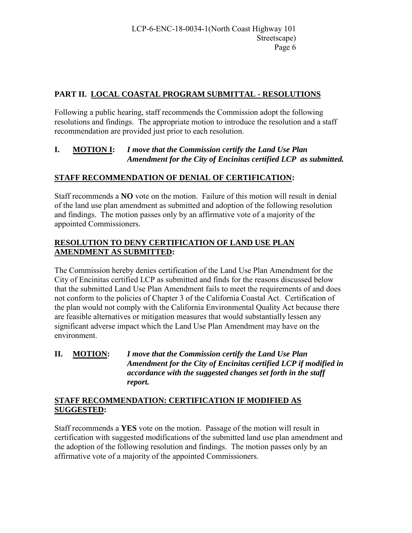# **PART II. LOCAL COASTAL PROGRAM SUBMITTAL - RESOLUTIONS**

Following a public hearing, staff recommends the Commission adopt the following resolutions and findings. The appropriate motion to introduce the resolution and a staff recommendation are provided just prior to each resolution.

#### **I. MOTION I:** *I move that the Commission certify the Land Use Plan Amendment for the City of Encinitas certified LCP as submitted.*

# **STAFF RECOMMENDATION OF DENIAL OF CERTIFICATION:**

Staff recommends a **NO** vote on the motion. Failure of this motion will result in denial of the land use plan amendment as submitted and adoption of the following resolution and findings. The motion passes only by an affirmative vote of a majority of the appointed Commissioners.

#### **RESOLUTION TO DENY CERTIFICATION OF LAND USE PLAN AMENDMENT AS SUBMITTED:**

The Commission hereby denies certification of the Land Use Plan Amendment for the City of Encinitas certified LCP as submitted and finds for the reasons discussed below that the submitted Land Use Plan Amendment fails to meet the requirements of and does not conform to the policies of Chapter 3 of the California Coastal Act. Certification of the plan would not comply with the California Environmental Quality Act because there are feasible alternatives or mitigation measures that would substantially lessen any significant adverse impact which the Land Use Plan Amendment may have on the environment.

**II. MOTION:** *I move that the Commission certify the Land Use Plan Amendment for the City of Encinitas certified LCP if modified in accordance with the suggested changes set forth in the staff report.* 

#### **STAFF RECOMMENDATION: CERTIFICATION IF MODIFIED AS SUGGESTED:**

Staff recommends a **YES** vote on the motion. Passage of the motion will result in certification with suggested modifications of the submitted land use plan amendment and the adoption of the following resolution and findings. The motion passes only by an affirmative vote of a majority of the appointed Commissioners.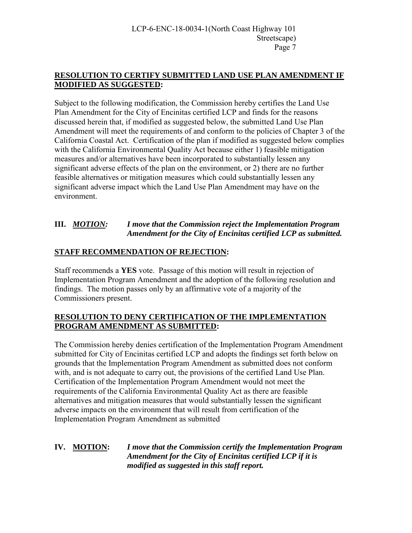#### **RESOLUTION TO CERTIFY SUBMITTED LAND USE PLAN AMENDMENT IF MODIFIED AS SUGGESTED:**

Subject to the following modification, the Commission hereby certifies the Land Use Plan Amendment for the City of Encinitas certified LCP and finds for the reasons discussed herein that, if modified as suggested below, the submitted Land Use Plan Amendment will meet the requirements of and conform to the policies of Chapter 3 of the California Coastal Act. Certification of the plan if modified as suggested below complies with the California Environmental Quality Act because either 1) feasible mitigation measures and/or alternatives have been incorporated to substantially lessen any significant adverse effects of the plan on the environment, or 2) there are no further feasible alternatives or mitigation measures which could substantially lessen any significant adverse impact which the Land Use Plan Amendment may have on the environment.

# **III.** *MOTION: I move that the Commission reject the Implementation Program Amendment for the City of Encinitas certified LCP as submitted.*

# **STAFF RECOMMENDATION OF REJECTION:**

Staff recommends a **YES** vote. Passage of this motion will result in rejection of Implementation Program Amendment and the adoption of the following resolution and findings. The motion passes only by an affirmative vote of a majority of the Commissioners present.

# **RESOLUTION TO DENY CERTIFICATION OF THE IMPLEMENTATION PROGRAM AMENDMENT AS SUBMITTED:**

The Commission hereby denies certification of the Implementation Program Amendment submitted for City of Encinitas certified LCP and adopts the findings set forth below on grounds that the Implementation Program Amendment as submitted does not conform with, and is not adequate to carry out, the provisions of the certified Land Use Plan. Certification of the Implementation Program Amendment would not meet the requirements of the California Environmental Quality Act as there are feasible alternatives and mitigation measures that would substantially lessen the significant adverse impacts on the environment that will result from certification of the Implementation Program Amendment as submitted

**IV. MOTION:** *I move that the Commission certify the Implementation Program Amendment for the City of Encinitas certified LCP if it is modified as suggested in this staff report.*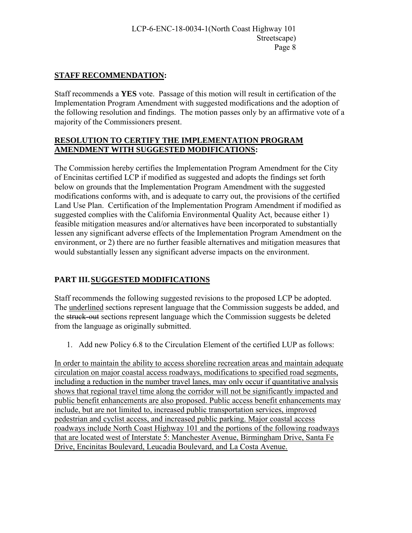# **STAFF RECOMMENDATION:**

Staff recommends a **YES** vote. Passage of this motion will result in certification of the Implementation Program Amendment with suggested modifications and the adoption of the following resolution and findings. The motion passes only by an affirmative vote of a majority of the Commissioners present.

#### **RESOLUTION TO CERTIFY THE IMPLEMENTATION PROGRAM AMENDMENT WITH SUGGESTED MODIFICATIONS:**

The Commission hereby certifies the Implementation Program Amendment for the City of Encinitas certified LCP if modified as suggested and adopts the findings set forth below on grounds that the Implementation Program Amendment with the suggested modifications conforms with, and is adequate to carry out, the provisions of the certified Land Use Plan. Certification of the Implementation Program Amendment if modified as suggested complies with the California Environmental Quality Act, because either 1) feasible mitigation measures and/or alternatives have been incorporated to substantially lessen any significant adverse effects of the Implementation Program Amendment on the environment, or 2) there are no further feasible alternatives and mitigation measures that would substantially lessen any significant adverse impacts on the environment.

# **PART III. SUGGESTED MODIFICATIONS**

Staff recommends the following suggested revisions to the proposed LCP be adopted. The underlined sections represent language that the Commission suggests be added, and the struck-out sections represent language which the Commission suggests be deleted from the language as originally submitted.

1. Add new Policy 6.8 to the Circulation Element of the certified LUP as follows:

In order to maintain the ability to access shoreline recreation areas and maintain adequate circulation on major coastal access roadways, modifications to specified road segments, including a reduction in the number travel lanes, may only occur if quantitative analysis shows that regional travel time along the corridor will not be significantly impacted and public benefit enhancements are also proposed. Public access benefit enhancements may include, but are not limited to, increased public transportation services, improved pedestrian and cyclist access, and increased public parking. Major coastal access roadways include North Coast Highway 101 and the portions of the following roadways that are located west of Interstate 5: Manchester Avenue, Birmingham Drive, Santa Fe Drive, Encinitas Boulevard, Leucadia Boulevard, and La Costa Avenue.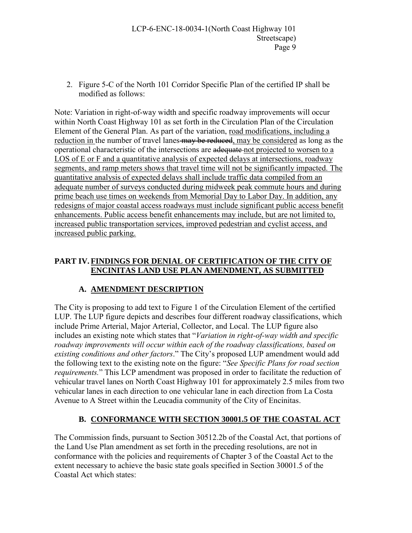2. Figure 5-C of the North 101 Corridor Specific Plan of the certified IP shall be modified as follows:

Note: Variation in right-of-way width and specific roadway improvements will occur within North Coast Highway 101 as set forth in the Circulation Plan of the Circulation Element of the General Plan. As part of the variation, road modifications, including a reduction in the number of travel lanes-may be reduced, may be considered as long as the operational characteristic of the intersections are adequate not projected to worsen to a LOS of E or F and a quantitative analysis of expected delays at intersections, roadway segments, and ramp meters shows that travel time will not be significantly impacted. The quantitative analysis of expected delays shall include traffic data compiled from an adequate number of surveys conducted during midweek peak commute hours and during prime beach use times on weekends from Memorial Day to Labor Day. In addition, any redesigns of major coastal access roadways must include significant public access benefit enhancements. Public access benefit enhancements may include, but are not limited to, increased public transportation services, improved pedestrian and cyclist access, and increased public parking.

# **PART IV. FINDINGS FOR DENIAL OF CERTIFICATION OF THE CITY OF ENCINITAS LAND USE PLAN AMENDMENT, AS SUBMITTED**

# **A. AMENDMENT DESCRIPTION**

The City is proposing to add text to Figure 1 of the Circulation Element of the certified LUP. The LUP figure depicts and describes four different roadway classifications, which include Prime Arterial, Major Arterial, Collector, and Local. The LUP figure also includes an existing note which states that "*Variation in right-of-way width and specific roadway improvements will occur within each of the roadway classifications, based on existing conditions and other factors*." The City's proposed LUP amendment would add the following text to the existing note on the figure: "*See Specific Plans for road section requirements.*" This LCP amendment was proposed in order to facilitate the reduction of vehicular travel lanes on North Coast Highway 101 for approximately 2.5 miles from two vehicular lanes in each direction to one vehicular lane in each direction from La Costa Avenue to A Street within the Leucadia community of the City of Encinitas.

# **B. CONFORMANCE WITH SECTION 30001.5 OF THE COASTAL ACT**

The Commission finds, pursuant to Section 30512.2b of the Coastal Act, that portions of the Land Use Plan amendment as set forth in the preceding resolutions, are not in conformance with the policies and requirements of Chapter 3 of the Coastal Act to the extent necessary to achieve the basic state goals specified in Section 30001.5 of the Coastal Act which states: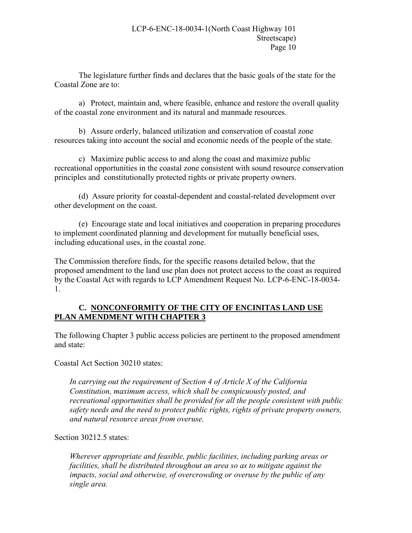The legislature further finds and declares that the basic goals of the state for the Coastal Zone are to:

a) Protect, maintain and, where feasible, enhance and restore the overall quality of the coastal zone environment and its natural and manmade resources.

 b) Assure orderly, balanced utilization and conservation of coastal zone resources taking into account the social and economic needs of the people of the state.

c) Maximize public access to and along the coast and maximize public recreational opportunities in the coastal zone consistent with sound resource conservation principles and constitutionally protected rights or private property owners.

 (d) Assure priority for coastal-dependent and coastal-related development over other development on the coast.

 (e) Encourage state and local initiatives and cooperation in preparing procedures to implement coordinated planning and development for mutually beneficial uses, including educational uses, in the coastal zone.

The Commission therefore finds, for the specific reasons detailed below, that the proposed amendment to the land use plan does not protect access to the coast as required by the Coastal Act with regards to LCP Amendment Request No. LCP-6-ENC-18-0034- 1.

#### **C. NONCONFORMITY OF THE CITY OF ENCINITAS LAND USE PLAN AMENDMENT WITH CHAPTER 3**

The following Chapter 3 public access policies are pertinent to the proposed amendment and state:

Coastal Act Section 30210 states:

*In carrying out the requirement of Section 4 of Article X of the California Constitution, maximum access, which shall be conspicuously posted, and recreational opportunities shall be provided for all the people consistent with public safety needs and the need to protect public rights, rights of private property owners, and natural resource areas from overuse.* 

Section 30212.5 states:

*Wherever appropriate and feasible, public facilities, including parking areas or facilities, shall be distributed throughout an area so as to mitigate against the impacts, social and otherwise, of overcrowding or overuse by the public of any single area.*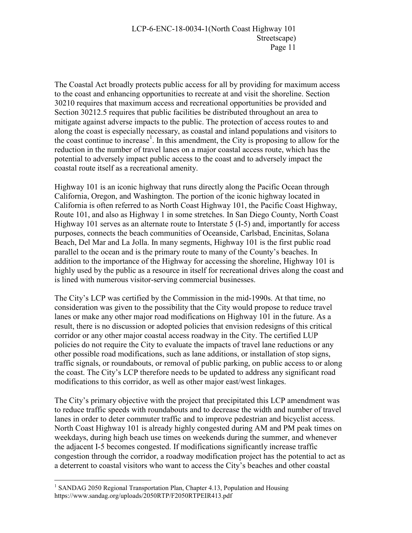The Coastal Act broadly protects public access for all by providing for maximum access to the coast and enhancing opportunities to recreate at and visit the shoreline. Section 30210 requires that maximum access and recreational opportunities be provided and Section 30212.5 requires that public facilities be distributed throughout an area to mitigate against adverse impacts to the public. The protection of access routes to and along the coast is especially necessary, as coastal and inland populations and visitors to the coast continue to increase<sup>1</sup>. In this amendment, the City is proposing to allow for the reduction in the number of travel lanes on a major coastal access route, which has the potential to adversely impact public access to the coast and to adversely impact the coastal route itself as a recreational amenity.

Highway 101 is an iconic highway that runs directly along the Pacific Ocean through California, Oregon, and Washington. The portion of the iconic highway located in California is often referred to as North Coast Highway 101, the Pacific Coast Highway, Route 101, and also as Highway 1 in some stretches. In San Diego County, North Coast Highway 101 serves as an alternate route to Interstate 5 (I-5) and, importantly for access purposes, connects the beach communities of Oceanside, Carlsbad, Encinitas, Solana Beach, Del Mar and La Jolla. In many segments, Highway 101 is the first public road parallel to the ocean and is the primary route to many of the County's beaches. In addition to the importance of the Highway for accessing the shoreline, Highway 101 is highly used by the public as a resource in itself for recreational drives along the coast and is lined with numerous visitor-serving commercial businesses.

The City's LCP was certified by the Commission in the mid-1990s. At that time, no consideration was given to the possibility that the City would propose to reduce travel lanes or make any other major road modifications on Highway 101 in the future. As a result, there is no discussion or adopted policies that envision redesigns of this critical corridor or any other major coastal access roadway in the City. The certified LUP policies do not require the City to evaluate the impacts of travel lane reductions or any other possible road modifications, such as lane additions, or installation of stop signs, traffic signals, or roundabouts, or removal of public parking, on public access to or along the coast. The City's LCP therefore needs to be updated to address any significant road modifications to this corridor, as well as other major east/west linkages.

The City's primary objective with the project that precipitated this LCP amendment was to reduce traffic speeds with roundabouts and to decrease the width and number of travel lanes in order to deter commuter traffic and to improve pedestrian and bicyclist access. North Coast Highway 101 is already highly congested during AM and PM peak times on weekdays, during high beach use times on weekends during the summer, and whenever the adjacent I-5 becomes congested. If modifications significantly increase traffic congestion through the corridor, a roadway modification project has the potential to act as a deterrent to coastal visitors who want to access the City's beaches and other coastal

 $\overline{a}$ <sup>1</sup> SANDAG 2050 Regional Transportation Plan, Chapter 4.13, Population and Housing https://www.sandag.org/uploads/2050RTP/F2050RTPEIR413.pdf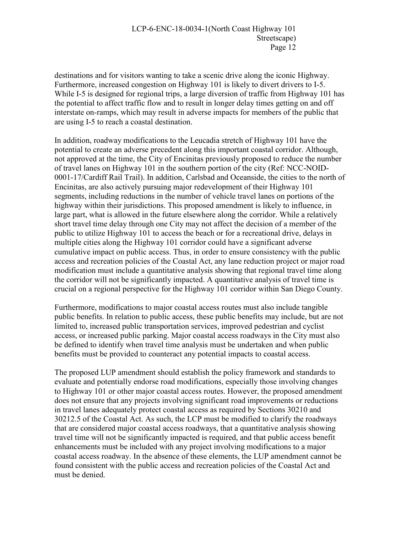destinations and for visitors wanting to take a scenic drive along the iconic Highway. Furthermore, increased congestion on Highway 101 is likely to divert drivers to I-5. While I-5 is designed for regional trips, a large diversion of traffic from Highway 101 has the potential to affect traffic flow and to result in longer delay times getting on and off interstate on-ramps, which may result in adverse impacts for members of the public that are using I-5 to reach a coastal destination.

In addition, roadway modifications to the Leucadia stretch of Highway 101 have the potential to create an adverse precedent along this important coastal corridor. Although, not approved at the time, the City of Encinitas previously proposed to reduce the number of travel lanes on Highway 101 in the southern portion of the city (Ref: NCC-NOID-0001-17/Cardiff Rail Trail). In addition, Carlsbad and Oceanside, the cities to the north of Encinitas, are also actively pursuing major redevelopment of their Highway 101 segments, including reductions in the number of vehicle travel lanes on portions of the highway within their jurisdictions. This proposed amendment is likely to influence, in large part, what is allowed in the future elsewhere along the corridor. While a relatively short travel time delay through one City may not affect the decision of a member of the public to utilize Highway 101 to access the beach or for a recreational drive, delays in multiple cities along the Highway 101 corridor could have a significant adverse cumulative impact on public access. Thus, in order to ensure consistency with the public access and recreation policies of the Coastal Act, any lane reduction project or major road modification must include a quantitative analysis showing that regional travel time along the corridor will not be significantly impacted. A quantitative analysis of travel time is crucial on a regional perspective for the Highway 101 corridor within San Diego County.

Furthermore, modifications to major coastal access routes must also include tangible public benefits. In relation to public access, these public benefits may include, but are not limited to, increased public transportation services, improved pedestrian and cyclist access, or increased public parking. Major coastal access roadways in the City must also be defined to identify when travel time analysis must be undertaken and when public benefits must be provided to counteract any potential impacts to coastal access.

The proposed LUP amendment should establish the policy framework and standards to evaluate and potentially endorse road modifications, especially those involving changes to Highway 101 or other major coastal access routes. However, the proposed amendment does not ensure that any projects involving significant road improvements or reductions in travel lanes adequately protect coastal access as required by Sections 30210 and 30212.5 of the Coastal Act. As such, the LCP must be modified to clarify the roadways that are considered major coastal access roadways, that a quantitative analysis showing travel time will not be significantly impacted is required, and that public access benefit enhancements must be included with any project involving modifications to a major coastal access roadway. In the absence of these elements, the LUP amendment cannot be found consistent with the public access and recreation policies of the Coastal Act and must be denied.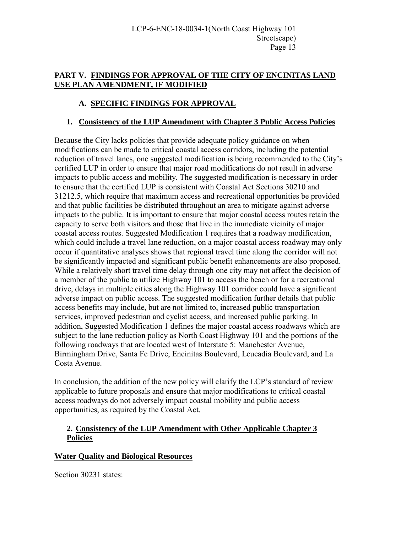# **PART V. FINDINGS FOR APPROVAL OF THE CITY OF ENCINITAS LAND USE PLAN AMENDMENT, IF MODIFIED**

# **A. SPECIFIC FINDINGS FOR APPROVAL**

# **1. Consistency of the LUP Amendment with Chapter 3 Public Access Policies**

Because the City lacks policies that provide adequate policy guidance on when modifications can be made to critical coastal access corridors, including the potential reduction of travel lanes, one suggested modification is being recommended to the City's certified LUP in order to ensure that major road modifications do not result in adverse impacts to public access and mobility. The suggested modification is necessary in order to ensure that the certified LUP is consistent with Coastal Act Sections 30210 and 31212.5, which require that maximum access and recreational opportunities be provided and that public facilities be distributed throughout an area to mitigate against adverse impacts to the public. It is important to ensure that major coastal access routes retain the capacity to serve both visitors and those that live in the immediate vicinity of major coastal access routes. Suggested Modification 1 requires that a roadway modification, which could include a travel lane reduction, on a major coastal access roadway may only occur if quantitative analyses shows that regional travel time along the corridor will not be significantly impacted and significant public benefit enhancements are also proposed. While a relatively short travel time delay through one city may not affect the decision of a member of the public to utilize Highway 101 to access the beach or for a recreational drive, delays in multiple cities along the Highway 101 corridor could have a significant adverse impact on public access. The suggested modification further details that public access benefits may include, but are not limited to, increased public transportation services, improved pedestrian and cyclist access, and increased public parking. In addition, Suggested Modification 1 defines the major coastal access roadways which are subject to the lane reduction policy as North Coast Highway 101 and the portions of the following roadways that are located west of Interstate 5: Manchester Avenue, Birmingham Drive, Santa Fe Drive, Encinitas Boulevard, Leucadia Boulevard, and La Costa Avenue.

In conclusion, the addition of the new policy will clarify the LCP's standard of review applicable to future proposals and ensure that major modifications to critical coastal access roadways do not adversely impact coastal mobility and public access opportunities, as required by the Coastal Act.

#### **2. Consistency of the LUP Amendment with Other Applicable Chapter 3 Policies**

#### **Water Quality and Biological Resources**

Section 30231 states: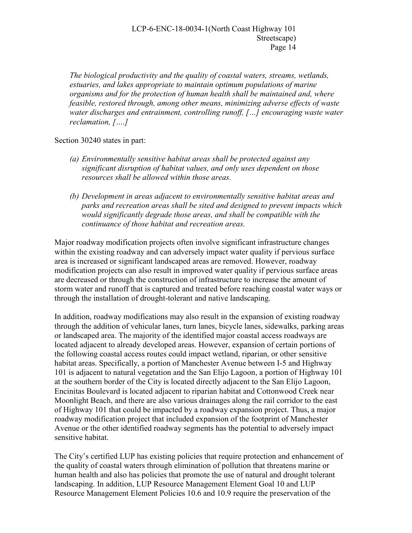*The biological productivity and the quality of coastal waters, streams, wetlands, estuaries, and lakes appropriate to maintain optimum populations of marine organisms and for the protection of human health shall be maintained and, where feasible, restored through, among other means, minimizing adverse effects of waste water discharges and entrainment, controlling runoff, […] encouraging waste water reclamation, [….]* 

Section 30240 states in part:

- *(a) Environmentally sensitive habitat areas shall be protected against any significant disruption of habitat values, and only uses dependent on those resources shall be allowed within those areas.*
- *(b) Development in areas adjacent to environmentally sensitive habitat areas and parks and recreation areas shall be sited and designed to prevent impacts which would significantly degrade those areas, and shall be compatible with the continuance of those habitat and recreation areas.*

Major roadway modification projects often involve significant infrastructure changes within the existing roadway and can adversely impact water quality if pervious surface area is increased or significant landscaped areas are removed. However, roadway modification projects can also result in improved water quality if pervious surface areas are decreased or through the construction of infrastructure to increase the amount of storm water and runoff that is captured and treated before reaching coastal water ways or through the installation of drought-tolerant and native landscaping.

In addition, roadway modifications may also result in the expansion of existing roadway through the addition of vehicular lanes, turn lanes, bicycle lanes, sidewalks, parking areas or landscaped area. The majority of the identified major coastal access roadways are located adjacent to already developed areas. However, expansion of certain portions of the following coastal access routes could impact wetland, riparian, or other sensitive habitat areas. Specifically, a portion of Manchester Avenue between I-5 and Highway 101 is adjacent to natural vegetation and the San Elijo Lagoon, a portion of Highway 101 at the southern border of the City is located directly adjacent to the San Elijo Lagoon, Encinitas Boulevard is located adjacent to riparian habitat and Cottonwood Creek near Moonlight Beach, and there are also various drainages along the rail corridor to the east of Highway 101 that could be impacted by a roadway expansion project. Thus, a major roadway modification project that included expansion of the footprint of Manchester Avenue or the other identified roadway segments has the potential to adversely impact sensitive habitat.

The City's certified LUP has existing policies that require protection and enhancement of the quality of coastal waters through elimination of pollution that threatens marine or human health and also has policies that promote the use of natural and drought tolerant landscaping. In addition, LUP Resource Management Element Goal 10 and LUP Resource Management Element Policies 10.6 and 10.9 require the preservation of the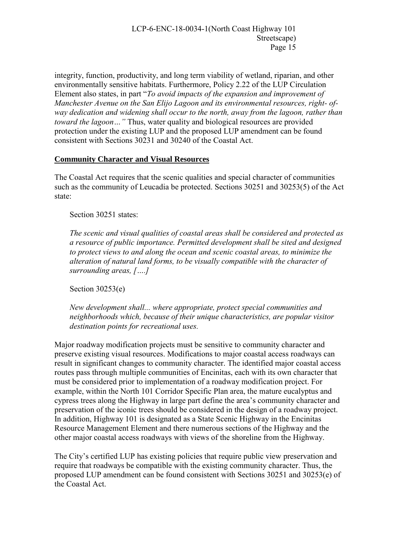integrity, function, productivity, and long term viability of wetland, riparian, and other environmentally sensitive habitats. Furthermore, Policy 2.22 of the LUP Circulation Element also states, in part "*To avoid impacts of the expansion and improvement of Manchester Avenue on the San Elijo Lagoon and its environmental resources, right- ofway dedication and widening shall occur to the north, away from the lagoon, rather than toward the lagoon…"* Thus, water quality and biological resources are provided protection under the existing LUP and the proposed LUP amendment can be found consistent with Sections 30231 and 30240 of the Coastal Act.

#### **Community Character and Visual Resources**

The Coastal Act requires that the scenic qualities and special character of communities such as the community of Leucadia be protected. Sections 30251 and 30253(5) of the Act state:

Section 30251 states:

*The scenic and visual qualities of coastal areas shall be considered and protected as a resource of public importance. Permitted development shall be sited and designed to protect views to and along the ocean and scenic coastal areas, to minimize the alteration of natural land forms, to be visually compatible with the character of surrounding areas, [….]* 

Section 30253(e)

*New development shall... where appropriate, protect special communities and neighborhoods which, because of their unique characteristics, are popular visitor destination points for recreational uses.* 

Major roadway modification projects must be sensitive to community character and preserve existing visual resources. Modifications to major coastal access roadways can result in significant changes to community character. The identified major coastal access routes pass through multiple communities of Encinitas, each with its own character that must be considered prior to implementation of a roadway modification project. For example, within the North 101 Corridor Specific Plan area, the mature eucalyptus and cypress trees along the Highway in large part define the area's community character and preservation of the iconic trees should be considered in the design of a roadway project. In addition, Highway 101 is designated as a State Scenic Highway in the Encinitas Resource Management Element and there numerous sections of the Highway and the other major coastal access roadways with views of the shoreline from the Highway.

The City's certified LUP has existing policies that require public view preservation and require that roadways be compatible with the existing community character. Thus, the proposed LUP amendment can be found consistent with Sections 30251 and 30253(e) of the Coastal Act.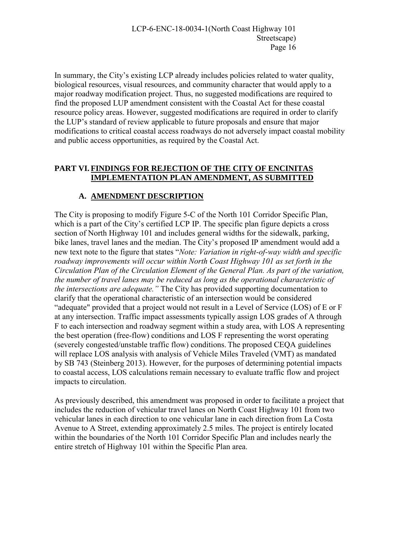In summary, the City's existing LCP already includes policies related to water quality, biological resources, visual resources, and community character that would apply to a major roadway modification project. Thus, no suggested modifications are required to find the proposed LUP amendment consistent with the Coastal Act for these coastal resource policy areas. However, suggested modifications are required in order to clarify the LUP's standard of review applicable to future proposals and ensure that major modifications to critical coastal access roadways do not adversely impact coastal mobility and public access opportunities, as required by the Coastal Act.

#### **PART VI. FINDINGS FOR REJECTION OF THE CITY OF ENCINITAS IMPLEMENTATION PLAN AMENDMENT, AS SUBMITTED**

# **A. AMENDMENT DESCRIPTION**

The City is proposing to modify Figure 5-C of the North 101 Corridor Specific Plan, which is a part of the City's certified LCP IP. The specific plan figure depicts a cross section of North Highway 101 and includes general widths for the sidewalk, parking, bike lanes, travel lanes and the median. The City's proposed IP amendment would add a new text note to the figure that states "*Note: Variation in right-of-way width and specific roadway improvements will occur within North Coast Highway 101 as set forth in the Circulation Plan of the Circulation Element of the General Plan. As part of the variation, the number of travel lanes may be reduced as long as the operational characteristic of the intersections are adequate."* The City has provided supporting documentation to clarify that the operational characteristic of an intersection would be considered "adequate" provided that a project would not result in a Level of Service (LOS) of E or F at any intersection. Traffic impact assessments typically assign LOS grades of A through F to each intersection and roadway segment within a study area, with LOS A representing the best operation (free-flow) conditions and LOS F representing the worst operating (severely congested/unstable traffic flow) conditions. The proposed CEQA guidelines will replace LOS analysis with analysis of Vehicle Miles Traveled (VMT) as mandated by SB 743 (Steinberg 2013). However, for the purposes of determining potential impacts to coastal access, LOS calculations remain necessary to evaluate traffic flow and project impacts to circulation.

As previously described, this amendment was proposed in order to facilitate a project that includes the reduction of vehicular travel lanes on North Coast Highway 101 from two vehicular lanes in each direction to one vehicular lane in each direction from La Costa Avenue to A Street, extending approximately 2.5 miles. The project is entirely located within the boundaries of the North 101 Corridor Specific Plan and includes nearly the entire stretch of Highway 101 within the Specific Plan area.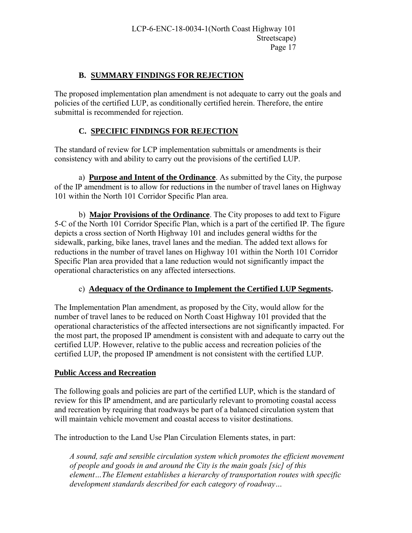#### **B. SUMMARY FINDINGS FOR REJECTION**

The proposed implementation plan amendment is not adequate to carry out the goals and policies of the certified LUP, as conditionally certified herein. Therefore, the entire submittal is recommended for rejection.

#### **C. SPECIFIC FINDINGS FOR REJECTION**

The standard of review for LCP implementation submittals or amendments is their consistency with and ability to carry out the provisions of the certified LUP.

 a) **Purpose and Intent of the Ordinance**. As submitted by the City, the purpose of the IP amendment is to allow for reductions in the number of travel lanes on Highway 101 within the North 101 Corridor Specific Plan area.

 b) **Major Provisions of the Ordinance**. The City proposes to add text to Figure 5-C of the North 101 Corridor Specific Plan, which is a part of the certified IP. The figure depicts a cross section of North Highway 101 and includes general widths for the sidewalk, parking, bike lanes, travel lanes and the median. The added text allows for reductions in the number of travel lanes on Highway 101 within the North 101 Corridor Specific Plan area provided that a lane reduction would not significantly impact the operational characteristics on any affected intersections.

#### c) **Adequacy of the Ordinance to Implement the Certified LUP Segments.**

The Implementation Plan amendment, as proposed by the City, would allow for the number of travel lanes to be reduced on North Coast Highway 101 provided that the operational characteristics of the affected intersections are not significantly impacted. For the most part, the proposed IP amendment is consistent with and adequate to carry out the certified LUP. However, relative to the public access and recreation policies of the certified LUP, the proposed IP amendment is not consistent with the certified LUP.

#### **Public Access and Recreation**

The following goals and policies are part of the certified LUP, which is the standard of review for this IP amendment, and are particularly relevant to promoting coastal access and recreation by requiring that roadways be part of a balanced circulation system that will maintain vehicle movement and coastal access to visitor destinations.

The introduction to the Land Use Plan Circulation Elements states, in part:

*A sound, safe and sensible circulation system which promotes the efficient movement of people and goods in and around the City is the main goals [sic] of this element…The Element establishes a hierarchy of transportation routes with specific development standards described for each category of roadway…*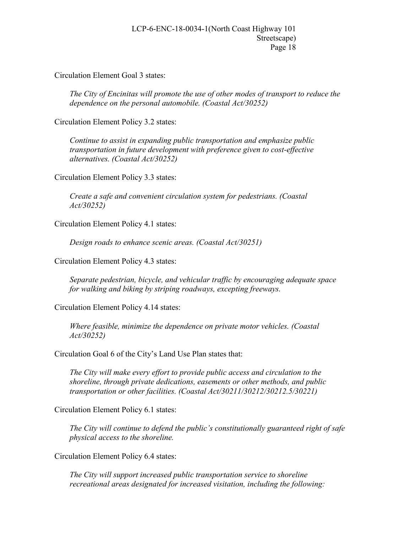Circulation Element Goal 3 states:

*The City of Encinitas will promote the use of other modes of transport to reduce the dependence on the personal automobile. (Coastal Act/30252)* 

Circulation Element Policy 3.2 states:

*Continue to assist in expanding public transportation and emphasize public transportation in future development with preference given to cost-effective alternatives. (Coastal Act/30252)* 

Circulation Element Policy 3.3 states:

*Create a safe and convenient circulation system for pedestrians. (Coastal Act/30252)* 

Circulation Element Policy 4.1 states:

*Design roads to enhance scenic areas. (Coastal Act/30251)* 

Circulation Element Policy 4.3 states:

*Separate pedestrian, bicycle, and vehicular traffic by encouraging adequate space for walking and biking by striping roadways, excepting freeways.* 

Circulation Element Policy 4.14 states:

*Where feasible, minimize the dependence on private motor vehicles. (Coastal Act/30252)* 

Circulation Goal 6 of the City's Land Use Plan states that:

*The City will make every effort to provide public access and circulation to the shoreline, through private dedications, easements or other methods, and public transportation or other facilities. (Coastal Act/30211/30212/30212.5/30221)* 

Circulation Element Policy 6.1 states:

*The City will continue to defend the public's constitutionally guaranteed right of safe physical access to the shoreline.* 

Circulation Element Policy 6.4 states:

*The City will support increased public transportation service to shoreline recreational areas designated for increased visitation, including the following:*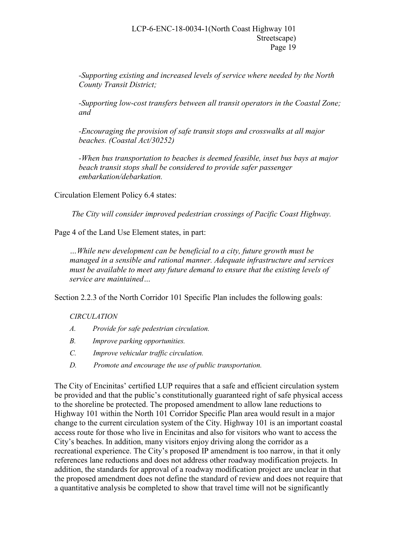*-Supporting existing and increased levels of service where needed by the North County Transit District;* 

*-Supporting low-cost transfers between all transit operators in the Coastal Zone; and* 

*-Encouraging the provision of safe transit stops and crosswalks at all major beaches. (Coastal Act/30252)* 

*-When bus transportation to beaches is deemed feasible, inset bus bays at major beach transit stops shall be considered to provide safer passenger embarkation/debarkation.* 

Circulation Element Policy 6.4 states:

*The City will consider improved pedestrian crossings of Pacific Coast Highway.* 

Page 4 of the Land Use Element states, in part:

*…While new development can be beneficial to a city, future growth must be managed in a sensible and rational manner. Adequate infrastructure and services must be available to meet any future demand to ensure that the existing levels of service are maintained…* 

Section 2.2.3 of the North Corridor 101 Specific Plan includes the following goals:

#### *CIRCULATION*

- *A. Provide for safe pedestrian circulation.*
- *B. Improve parking opportunities.*
- *C. Improve vehicular traffic circulation.*
- *D. Promote and encourage the use of public transportation.*

The City of Encinitas' certified LUP requires that a safe and efficient circulation system be provided and that the public's constitutionally guaranteed right of safe physical access to the shoreline be protected. The proposed amendment to allow lane reductions to Highway 101 within the North 101 Corridor Specific Plan area would result in a major change to the current circulation system of the City. Highway 101 is an important coastal access route for those who live in Encinitas and also for visitors who want to access the City's beaches. In addition, many visitors enjoy driving along the corridor as a recreational experience. The City's proposed IP amendment is too narrow, in that it only references lane reductions and does not address other roadway modification projects. In addition, the standards for approval of a roadway modification project are unclear in that the proposed amendment does not define the standard of review and does not require that a quantitative analysis be completed to show that travel time will not be significantly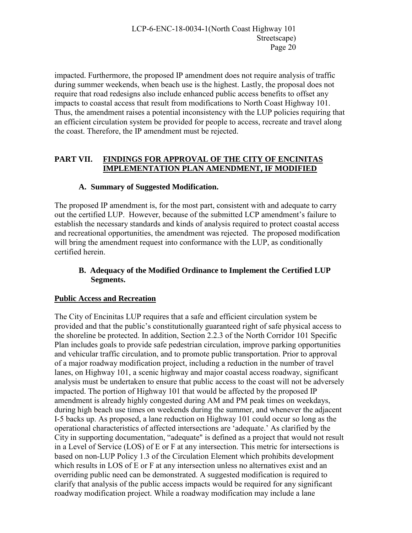impacted. Furthermore, the proposed IP amendment does not require analysis of traffic during summer weekends, when beach use is the highest. Lastly, the proposal does not require that road redesigns also include enhanced public access benefits to offset any impacts to coastal access that result from modifications to North Coast Highway 101. Thus, the amendment raises a potential inconsistency with the LUP policies requiring that an efficient circulation system be provided for people to access, recreate and travel along the coast. Therefore, the IP amendment must be rejected.

# **PART VII. FINDINGS FOR APPROVAL OF THE CITY OF ENCINITAS IMPLEMENTATION PLAN AMENDMENT, IF MODIFIED**

# **A. Summary of Suggested Modification.**

The proposed IP amendment is, for the most part, consistent with and adequate to carry out the certified LUP. However, because of the submitted LCP amendment's failure to establish the necessary standards and kinds of analysis required to protect coastal access and recreational opportunities, the amendment was rejected. The proposed modification will bring the amendment request into conformance with the LUP, as conditionally certified herein.

# **B. Adequacy of the Modified Ordinance to Implement the Certified LUP Segments.**

# **Public Access and Recreation**

The City of Encinitas LUP requires that a safe and efficient circulation system be provided and that the public's constitutionally guaranteed right of safe physical access to the shoreline be protected. In addition, Section 2.2.3 of the North Corridor 101 Specific Plan includes goals to provide safe pedestrian circulation, improve parking opportunities and vehicular traffic circulation, and to promote public transportation. Prior to approval of a major roadway modification project, including a reduction in the number of travel lanes, on Highway 101, a scenic highway and major coastal access roadway, significant analysis must be undertaken to ensure that public access to the coast will not be adversely impacted. The portion of Highway 101 that would be affected by the proposed IP amendment is already highly congested during AM and PM peak times on weekdays, during high beach use times on weekends during the summer, and whenever the adjacent I-5 backs up. As proposed, a lane reduction on Highway 101 could occur so long as the operational characteristics of affected intersections are 'adequate.' As clarified by the City in supporting documentation, "adequate" is defined as a project that would not result in a Level of Service (LOS) of E or F at any intersection. This metric for intersections is based on non-LUP Policy 1.3 of the Circulation Element which prohibits development which results in LOS of E or F at any intersection unless no alternatives exist and an overriding public need can be demonstrated. A suggested modification is required to clarify that analysis of the public access impacts would be required for any significant roadway modification project. While a roadway modification may include a lane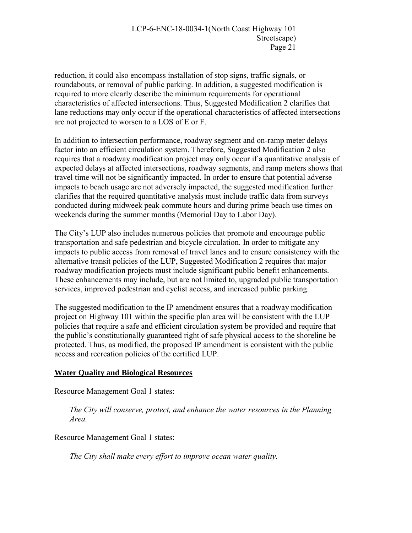reduction, it could also encompass installation of stop signs, traffic signals, or roundabouts, or removal of public parking. In addition, a suggested modification is required to more clearly describe the minimum requirements for operational characteristics of affected intersections. Thus, Suggested Modification 2 clarifies that lane reductions may only occur if the operational characteristics of affected intersections are not projected to worsen to a LOS of E or F.

In addition to intersection performance, roadway segment and on-ramp meter delays factor into an efficient circulation system. Therefore, Suggested Modification 2 also requires that a roadway modification project may only occur if a quantitative analysis of expected delays at affected intersections, roadway segments, and ramp meters shows that travel time will not be significantly impacted. In order to ensure that potential adverse impacts to beach usage are not adversely impacted, the suggested modification further clarifies that the required quantitative analysis must include traffic data from surveys conducted during midweek peak commute hours and during prime beach use times on weekends during the summer months (Memorial Day to Labor Day).

The City's LUP also includes numerous policies that promote and encourage public transportation and safe pedestrian and bicycle circulation. In order to mitigate any impacts to public access from removal of travel lanes and to ensure consistency with the alternative transit policies of the LUP, Suggested Modification 2 requires that major roadway modification projects must include significant public benefit enhancements. These enhancements may include, but are not limited to, upgraded public transportation services, improved pedestrian and cyclist access, and increased public parking.

The suggested modification to the IP amendment ensures that a roadway modification project on Highway 101 within the specific plan area will be consistent with the LUP policies that require a safe and efficient circulation system be provided and require that the public's constitutionally guaranteed right of safe physical access to the shoreline be protected. Thus, as modified, the proposed IP amendment is consistent with the public access and recreation policies of the certified LUP.

#### **Water Quality and Biological Resources**

Resource Management Goal 1 states:

*The City will conserve, protect, and enhance the water resources in the Planning Area.*

Resource Management Goal 1 states:

*The City shall make every effort to improve ocean water quality.*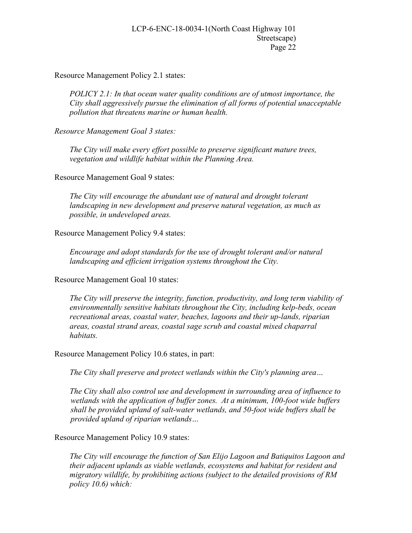Resource Management Policy 2.1 states:

*POLICY 2.1: In that ocean water quality conditions are of utmost importance, the City shall aggressively pursue the elimination of all forms of potential unacceptable pollution that threatens marine or human health.* 

*Resource Management Goal 3 states:* 

*The City will make every effort possible to preserve significant mature trees, vegetation and wildlife habitat within the Planning Area.* 

Resource Management Goal 9 states:

*The City will encourage the abundant use of natural and drought tolerant landscaping in new development and preserve natural vegetation, as much as possible, in undeveloped areas.* 

Resource Management Policy 9.4 states:

*Encourage and adopt standards for the use of drought tolerant and/or natural landscaping and efficient irrigation systems throughout the City.* 

Resource Management Goal 10 states:

*The City will preserve the integrity, function, productivity, and long term viability of environmentally sensitive habitats throughout the City, including kelp-beds, ocean recreational areas, coastal water, beaches, lagoons and their up-lands, riparian areas, coastal strand areas, coastal sage scrub and coastal mixed chaparral habitats.* 

Resource Management Policy 10.6 states, in part:

*The City shall preserve and protect wetlands within the City's planning area…* 

 *The City shall also control use and development in surrounding area of influence to wetlands with the application of buffer zones. At a minimum, 100-foot wide buffers shall be provided upland of salt-water wetlands, and 50-foot wide buffers shall be provided upland of riparian wetlands…* 

Resource Management Policy 10.9 states:

*The City will encourage the function of San Elijo Lagoon and Batiquitos Lagoon and their adjacent uplands as viable wetlands, ecosystems and habitat for resident and migratory wildlife, by prohibiting actions (subject to the detailed provisions of RM policy 10.6) which:*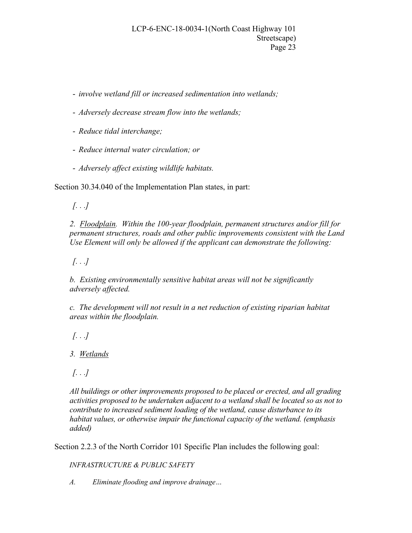- *involve wetland fill or increased sedimentation into wetlands;* 

- *Adversely decrease stream flow into the wetlands;*
- *Reduce tidal interchange;*
- *Reduce internal water circulation; or*
- *Adversely affect existing wildlife habitats.*

Section 30.34.040 of the Implementation Plan states, in part:

*[. . .]* 

*2. Floodplain. Within the 100-year floodplain, permanent structures and/or fill for permanent structures, roads and other public improvements consistent with the Land Use Element will only be allowed if the applicant can demonstrate the following:* 

*[. . .]* 

*b. Existing environmentally sensitive habitat areas will not be significantly adversely affected.* 

*c. The development will not result in a net reduction of existing riparian habitat areas within the floodplain.* 

*[. . .]* 

*3. Wetlands* 

*[. . .]* 

*All buildings or other improvements proposed to be placed or erected, and all grading activities proposed to be undertaken adjacent to a wetland shall be located so as not to contribute to increased sediment loading of the wetland, cause disturbance to its habitat values, or otherwise impair the functional capacity of the wetland. (emphasis added)* 

Section 2.2.3 of the North Corridor 101 Specific Plan includes the following goal:

*INFRASTRUCTURE & PUBLIC SAFETY*

*A. Eliminate flooding and improve drainage…*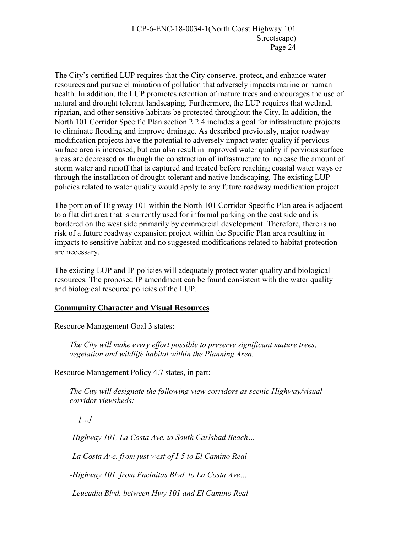The City's certified LUP requires that the City conserve, protect, and enhance water resources and pursue elimination of pollution that adversely impacts marine or human health. In addition, the LUP promotes retention of mature trees and encourages the use of natural and drought tolerant landscaping. Furthermore, the LUP requires that wetland, riparian, and other sensitive habitats be protected throughout the City. In addition, the North 101 Corridor Specific Plan section 2.2.4 includes a goal for infrastructure projects to eliminate flooding and improve drainage. As described previously, major roadway modification projects have the potential to adversely impact water quality if pervious surface area is increased, but can also result in improved water quality if pervious surface areas are decreased or through the construction of infrastructure to increase the amount of storm water and runoff that is captured and treated before reaching coastal water ways or through the installation of drought-tolerant and native landscaping. The existing LUP policies related to water quality would apply to any future roadway modification project.

The portion of Highway 101 within the North 101 Corridor Specific Plan area is adjacent to a flat dirt area that is currently used for informal parking on the east side and is bordered on the west side primarily by commercial development. Therefore, there is no risk of a future roadway expansion project within the Specific Plan area resulting in impacts to sensitive habitat and no suggested modifications related to habitat protection are necessary.

The existing LUP and IP policies will adequately protect water quality and biological resources. The proposed IP amendment can be found consistent with the water quality and biological resource policies of the LUP.

#### **Community Character and Visual Resources**

Resource Management Goal 3 states:

*The City will make every effort possible to preserve significant mature trees, vegetation and wildlife habitat within the Planning Area.* 

Resource Management Policy 4.7 states, in part:

*The City will designate the following view corridors as scenic Highway/visual corridor viewsheds:* 

 *[…]* 

*-Highway 101, La Costa Ave. to South Carlsbad Beach…* 

*-La Costa Ave. from just west of I-5 to El Camino Real* 

*-Highway 101, from Encinitas Blvd. to La Costa Ave…* 

*-Leucadia Blvd. between Hwy 101 and El Camino Real*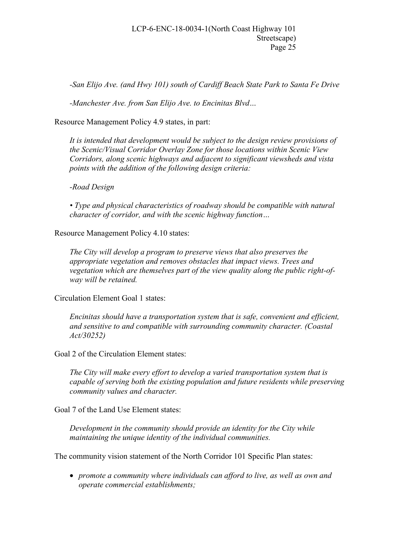*-San Elijo Ave. (and Hwy 101) south of Cardiff Beach State Park to Santa Fe Drive* 

*-Manchester Ave. from San Elijo Ave. to Encinitas Blvd…* 

Resource Management Policy 4.9 states, in part:

*It is intended that development would be subject to the design review provisions of the Scenic/Visual Corridor Overlay Zone for those locations within Scenic View Corridors, along scenic highways and adjacent to significant viewsheds and vista points with the addition of the following design criteria:* 

*-Road Design* 

*• Type and physical characteristics of roadway should be compatible with natural character of corridor, and with the scenic highway function…* 

Resource Management Policy 4.10 states:

*The City will develop a program to preserve views that also preserves the appropriate vegetation and removes obstacles that impact views. Trees and vegetation which are themselves part of the view quality along the public right-ofway will be retained.* 

Circulation Element Goal 1 states:

*Encinitas should have a transportation system that is safe, convenient and efficient, and sensitive to and compatible with surrounding community character. (Coastal Act/30252)* 

Goal 2 of the Circulation Element states:

*The City will make every effort to develop a varied transportation system that is capable of serving both the existing population and future residents while preserving community values and character.* 

Goal 7 of the Land Use Element states:

*Development in the community should provide an identity for the City while maintaining the unique identity of the individual communities.* 

The community vision statement of the North Corridor 101 Specific Plan states:

 *promote a community where individuals can afford to live, as well as own and operate commercial establishments;*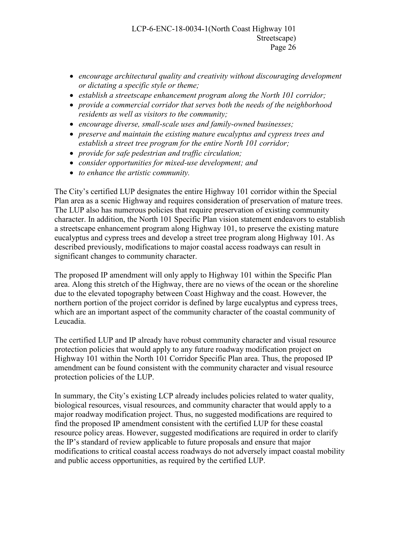- *encourage architectural quality and creativity without discouraging development or dictating a specific style or theme;*
- *establish a streetscape enhancement program along the North 101 corridor;*
- *provide a commercial corridor that serves both the needs of the neighborhood residents as well as visitors to the community;*
- *encourage diverse, small-scale uses and family-owned businesses;*
- *preserve and maintain the existing mature eucalyptus and cypress trees and establish a street tree program for the entire North 101 corridor;*
- *provide for safe pedestrian and traffic circulation;*
- *consider opportunities for mixed-use development; and*
- *to enhance the artistic community.*

The City's certified LUP designates the entire Highway 101 corridor within the Special Plan area as a scenic Highway and requires consideration of preservation of mature trees. The LUP also has numerous policies that require preservation of existing community character. In addition, the North 101 Specific Plan vision statement endeavors to establish a streetscape enhancement program along Highway 101, to preserve the existing mature eucalyptus and cypress trees and develop a street tree program along Highway 101. As described previously, modifications to major coastal access roadways can result in significant changes to community character.

The proposed IP amendment will only apply to Highway 101 within the Specific Plan area. Along this stretch of the Highway, there are no views of the ocean or the shoreline due to the elevated topography between Coast Highway and the coast. However, the northern portion of the project corridor is defined by large eucalyptus and cypress trees, which are an important aspect of the community character of the coastal community of Leucadia.

The certified LUP and IP already have robust community character and visual resource protection policies that would apply to any future roadway modification project on Highway 101 within the North 101 Corridor Specific Plan area. Thus, the proposed IP amendment can be found consistent with the community character and visual resource protection policies of the LUP.

In summary, the City's existing LCP already includes policies related to water quality, biological resources, visual resources, and community character that would apply to a major roadway modification project. Thus, no suggested modifications are required to find the proposed IP amendment consistent with the certified LUP for these coastal resource policy areas. However, suggested modifications are required in order to clarify the IP's standard of review applicable to future proposals and ensure that major modifications to critical coastal access roadways do not adversely impact coastal mobility and public access opportunities, as required by the certified LUP.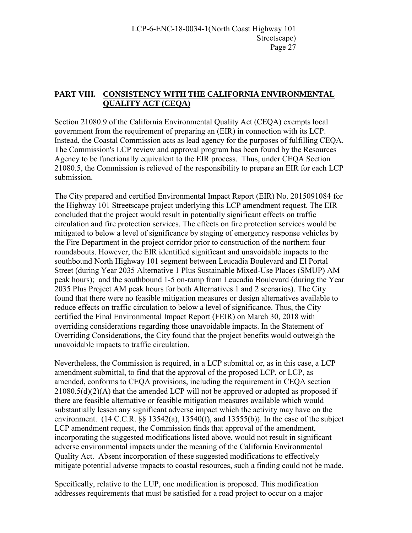# **PART VIII. CONSISTENCY WITH THE CALIFORNIA ENVIRONMENTAL QUALITY ACT (CEQA)**

Section 21080.9 of the California Environmental Quality Act (CEQA) exempts local government from the requirement of preparing an (EIR) in connection with its LCP. Instead, the Coastal Commission acts as lead agency for the purposes of fulfilling CEQA. The Commission's LCP review and approval program has been found by the Resources Agency to be functionally equivalent to the EIR process. Thus, under CEQA Section 21080.5, the Commission is relieved of the responsibility to prepare an EIR for each LCP submission.

The City prepared and certified Environmental Impact Report (EIR) No. 2015091084 for the Highway 101 Streetscape project underlying this LCP amendment request. The EIR concluded that the project would result in potentially significant effects on traffic circulation and fire protection services. The effects on fire protection services would be mitigated to below a level of significance by staging of emergency response vehicles by the Fire Department in the project corridor prior to construction of the northern four roundabouts. However, the EIR identified significant and unavoidable impacts to the southbound North Highway 101 segment between Leucadia Boulevard and El Portal Street (during Year 2035 Alternative 1 Plus Sustainable Mixed-Use Places (SMUP) AM peak hours); and the southbound 1-5 on-ramp from Leucadia Boulevard (during the Year 2035 Plus Project AM peak hours for both Alternatives 1 and 2 scenarios). The City found that there were no feasible mitigation measures or design alternatives available to reduce effects on traffic circulation to below a level of significance. Thus, the City certified the Final Environmental Impact Report (FEIR) on March 30, 2018 with overriding considerations regarding those unavoidable impacts. In the Statement of Overriding Considerations, the City found that the project benefits would outweigh the unavoidable impacts to traffic circulation.

Nevertheless, the Commission is required, in a LCP submittal or, as in this case, a LCP amendment submittal, to find that the approval of the proposed LCP, or LCP, as amended, conforms to CEQA provisions, including the requirement in CEQA section 21080.5(d)(2)(A) that the amended LCP will not be approved or adopted as proposed if there are feasible alternative or feasible mitigation measures available which would substantially lessen any significant adverse impact which the activity may have on the environment.  $(14 \text{ C.C.R. }$   $\&$   $(13542(a), 13540(f),$  and  $13555(b))$ . In the case of the subject LCP amendment request, the Commission finds that approval of the amendment, incorporating the suggested modifications listed above, would not result in significant adverse environmental impacts under the meaning of the California Environmental Quality Act. Absent incorporation of these suggested modifications to effectively mitigate potential adverse impacts to coastal resources, such a finding could not be made.

Specifically, relative to the LUP, one modification is proposed. This modification addresses requirements that must be satisfied for a road project to occur on a major